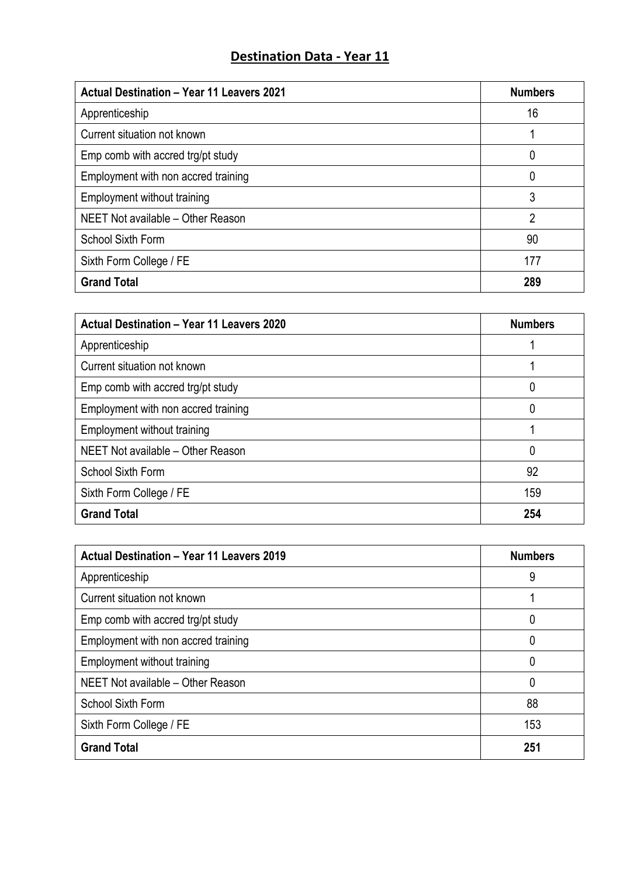## **Destination Data - Year 11**

| <b>Actual Destination - Year 11 Leavers 2021</b> | <b>Numbers</b> |
|--------------------------------------------------|----------------|
| Apprenticeship                                   | 16             |
| Current situation not known                      |                |
| Emp comb with accred trg/pt study                | 0              |
| Employment with non accred training              | 0              |
| Employment without training                      | 3              |
| NEET Not available - Other Reason                | 2              |
| <b>School Sixth Form</b>                         | 90             |
| Sixth Form College / FE                          | 177            |
| <b>Grand Total</b>                               | 289            |

| <b>Actual Destination - Year 11 Leavers 2020</b> | <b>Numbers</b> |
|--------------------------------------------------|----------------|
| Apprenticeship                                   |                |
| Current situation not known                      |                |
| Emp comb with accred trg/pt study                | 0              |
| Employment with non accred training              | 0              |
| Employment without training                      |                |
| NEET Not available - Other Reason                | 0              |
| <b>School Sixth Form</b>                         | 92             |
| Sixth Form College / FE                          | 159            |
| <b>Grand Total</b>                               | 254            |

| <b>Actual Destination - Year 11 Leavers 2019</b> | <b>Numbers</b> |
|--------------------------------------------------|----------------|
| Apprenticeship                                   | 9              |
| Current situation not known                      |                |
| Emp comb with accred trg/pt study                | 0              |
| Employment with non accred training              | 0              |
| Employment without training                      | 0              |
| NEET Not available - Other Reason                | 0              |
| <b>School Sixth Form</b>                         | 88             |
| Sixth Form College / FE                          | 153            |
| <b>Grand Total</b>                               | 251            |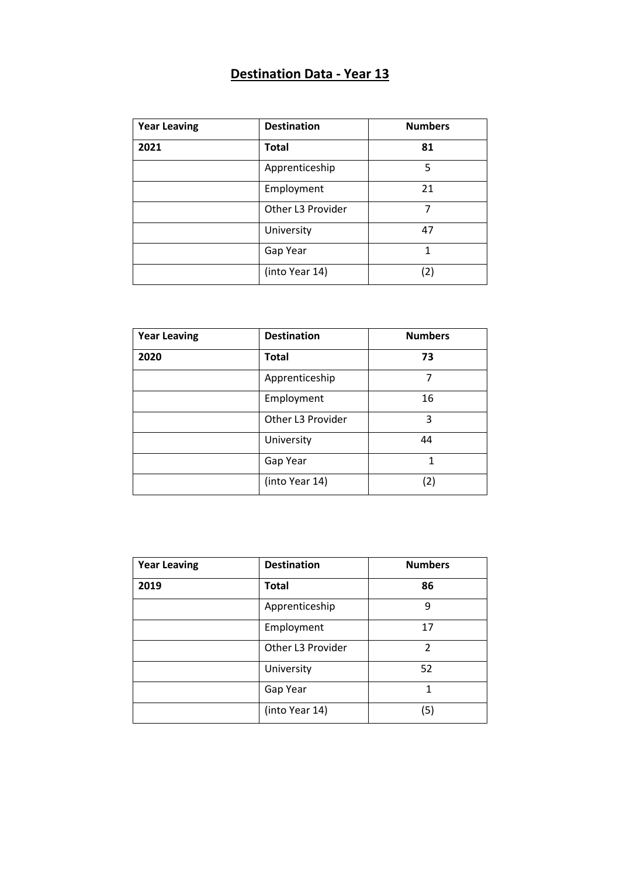## **Destination Data - Year 13**

| <b>Year Leaving</b> | <b>Destination</b> | <b>Numbers</b> |
|---------------------|--------------------|----------------|
| 2021                | <b>Total</b>       | 81             |
|                     | Apprenticeship     | 5              |
|                     | Employment         | 21             |
|                     | Other L3 Provider  | 7              |
|                     | University         | 47             |
|                     | Gap Year           | 1              |
|                     | (into Year 14)     | (2)            |

| <b>Year Leaving</b> | <b>Destination</b> | <b>Numbers</b> |
|---------------------|--------------------|----------------|
| 2020                | <b>Total</b>       | 73             |
|                     | Apprenticeship     | 7              |
|                     | Employment         | 16             |
|                     | Other L3 Provider  | 3              |
|                     | University         | 44             |
|                     | Gap Year           | 1              |
|                     | (into Year 14)     | (2)            |

| <b>Year Leaving</b> | <b>Destination</b> | <b>Numbers</b> |
|---------------------|--------------------|----------------|
| 2019                | <b>Total</b>       | 86             |
|                     | Apprenticeship     | 9              |
|                     | Employment         | 17             |
|                     | Other L3 Provider  | 2              |
|                     | University         | 52             |
|                     | Gap Year           | 1              |
|                     | (into Year 14)     | (5)            |